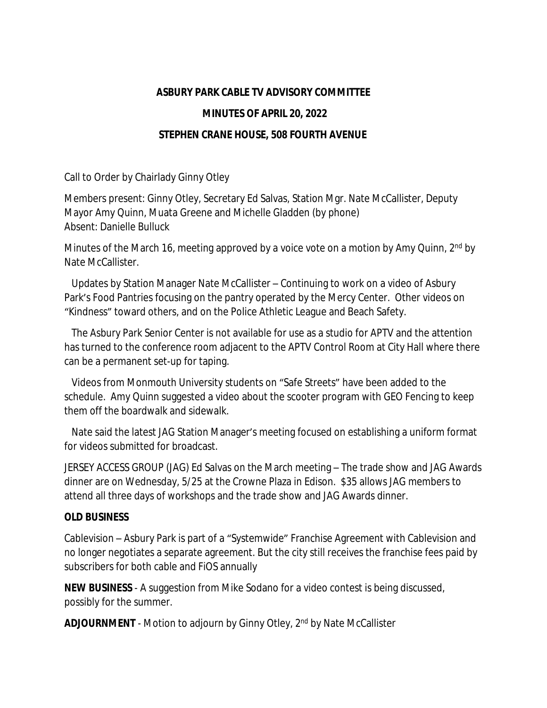## **ASBURY PARK CABLE TV ADVISORY COMMITTEE**

## **MINUTES OF APRIL 20, 2022**

## **STEPHEN CRANE HOUSE, 508 FOURTH AVENUE**

Call to Order by Chairlady Ginny Otley

Members present: Ginny Otley, Secretary Ed Salvas, Station Mgr. Nate McCallister, Deputy Mayor Amy Quinn, Muata Greene and Michelle Gladden (by phone) Absent: Danielle Bulluck

Minutes of the March 16, meeting approved by a voice vote on a motion by Amy Quinn, 2<sup>nd</sup> by Nate McCallister.

 Updates by Station Manager Nate McCallister – Continuing to work on a video of Asbury Park's Food Pantries focusing on the pantry operated by the Mercy Center. Other videos on "Kindness" toward others, and on the Police Athletic League and Beach Safety.

 The Asbury Park Senior Center is not available for use as a studio for APTV and the attention has turned to the conference room adjacent to the APTV Control Room at City Hall where there can be a permanent set-up for taping.

 Videos from Monmouth University students on "Safe Streets" have been added to the schedule. Amy Quinn suggested a video about the scooter program with GEO Fencing to keep them off the boardwalk and sidewalk.

 Nate said the latest JAG Station Manager's meeting focused on establishing a uniform format for videos submitted for broadcast.

JERSEY ACCESS GROUP (JAG) Ed Salvas on the March meeting – The trade show and JAG Awards dinner are on Wednesday, 5/25 at the Crowne Plaza in Edison. \$35 allows JAG members to attend all three days of workshops and the trade show and JAG Awards dinner.

## **OLD BUSINESS**

Cablevision – Asbury Park is part of a "Systemwide" Franchise Agreement with Cablevision and no longer negotiates a separate agreement. But the city still receives the franchise fees paid by subscribers for both cable and FiOS annually

**NEW BUSINESS** - A suggestion from Mike Sodano for a video contest is being discussed, possibly for the summer.

**ADJOURNMENT** - Motion to adjourn by Ginny Otley, 2<sup>nd</sup> by Nate McCallister